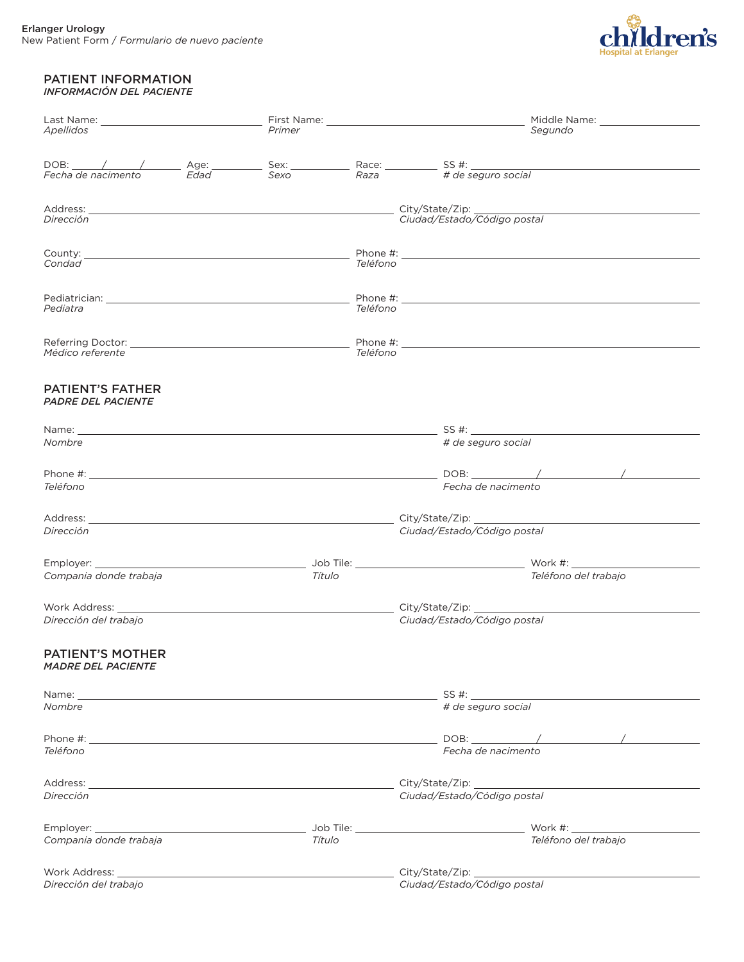

## PATIENT INFORMATION *INFORMACIÓN DEL PACIENTE*

| Apellidos                                                                                                                                                                                                                      | Primer |          | Middle Name: __________________<br>Segundo                                                                                                                                                                                     |  |
|--------------------------------------------------------------------------------------------------------------------------------------------------------------------------------------------------------------------------------|--------|----------|--------------------------------------------------------------------------------------------------------------------------------------------------------------------------------------------------------------------------------|--|
|                                                                                                                                                                                                                                |        |          |                                                                                                                                                                                                                                |  |
|                                                                                                                                                                                                                                |        |          |                                                                                                                                                                                                                                |  |
|                                                                                                                                                                                                                                |        |          | DOB: /// Age: Sex: Race: Race: Sex: Race: SS #: Lecha de nacimento Edad Sexo Raza                                                                                                                                              |  |
|                                                                                                                                                                                                                                |        |          |                                                                                                                                                                                                                                |  |
| Dirección                                                                                                                                                                                                                      |        |          | Ciudad/Estado/Código postal                                                                                                                                                                                                    |  |
|                                                                                                                                                                                                                                |        |          |                                                                                                                                                                                                                                |  |
| Condad                                                                                                                                                                                                                         |        | Teléfono |                                                                                                                                                                                                                                |  |
|                                                                                                                                                                                                                                |        |          | Phone #: the state of the state of the state of the state of the state of the state of the state of the state of the state of the state of the state of the state of the state of the state of the state of the state of the s |  |
| Pediatra                                                                                                                                                                                                                       |        | Teléfono |                                                                                                                                                                                                                                |  |
|                                                                                                                                                                                                                                |        |          |                                                                                                                                                                                                                                |  |
| Médico referente                                                                                                                                                                                                               |        | Teléfono |                                                                                                                                                                                                                                |  |
| <b>PATIENT'S FATHER</b>                                                                                                                                                                                                        |        |          |                                                                                                                                                                                                                                |  |
| PADRE DEL PACIENTE                                                                                                                                                                                                             |        |          |                                                                                                                                                                                                                                |  |
|                                                                                                                                                                                                                                |        |          |                                                                                                                                                                                                                                |  |
| Nombre                                                                                                                                                                                                                         |        |          | # de seguro social                                                                                                                                                                                                             |  |
| Phone #: New York State Assessment and the Contract of the Contract of the Contract of the Contract of the Contract of the Contract of the Contract of the Contract of the Contract of the Contract of the Contract of the Con |        |          |                                                                                                                                                                                                                                |  |
| Teléfono                                                                                                                                                                                                                       |        |          | Fecha de nacimento                                                                                                                                                                                                             |  |
|                                                                                                                                                                                                                                |        |          |                                                                                                                                                                                                                                |  |
| Dirección                                                                                                                                                                                                                      |        |          | Ciudad/Estado/Código postal                                                                                                                                                                                                    |  |
|                                                                                                                                                                                                                                |        |          |                                                                                                                                                                                                                                |  |
| Compania donde trabaja                                                                                                                                                                                                         | Título |          | Teléfono del trabajo                                                                                                                                                                                                           |  |
| Work Address: Universe Product of Address Andrew Product of Address Andrew Product of Address Andrew Product A                                                                                                                 |        |          |                                                                                                                                                                                                                                |  |
| Dirección del trabajo                                                                                                                                                                                                          |        |          | Ciudad/Estado/Código postal                                                                                                                                                                                                    |  |
| <b>PATIENT'S MOTHER</b>                                                                                                                                                                                                        |        |          |                                                                                                                                                                                                                                |  |
| <i>MADRE DEL PACIENTE</i>                                                                                                                                                                                                      |        |          |                                                                                                                                                                                                                                |  |
|                                                                                                                                                                                                                                |        |          |                                                                                                                                                                                                                                |  |
| Nombre                                                                                                                                                                                                                         |        |          | # de seguro social                                                                                                                                                                                                             |  |
|                                                                                                                                                                                                                                |        |          |                                                                                                                                                                                                                                |  |
| Teléfono                                                                                                                                                                                                                       |        |          | Fecha de nacimento                                                                                                                                                                                                             |  |
|                                                                                                                                                                                                                                |        |          |                                                                                                                                                                                                                                |  |
| Dirección                                                                                                                                                                                                                      |        |          | Ciudad/Estado/Código postal                                                                                                                                                                                                    |  |
|                                                                                                                                                                                                                                |        |          |                                                                                                                                                                                                                                |  |
| Compania donde trabaja                                                                                                                                                                                                         | Título |          | Teléfono del trabajo                                                                                                                                                                                                           |  |
|                                                                                                                                                                                                                                |        |          |                                                                                                                                                                                                                                |  |
| Dirección del trabajo                                                                                                                                                                                                          |        |          | Ciudad/Estado/Código postal                                                                                                                                                                                                    |  |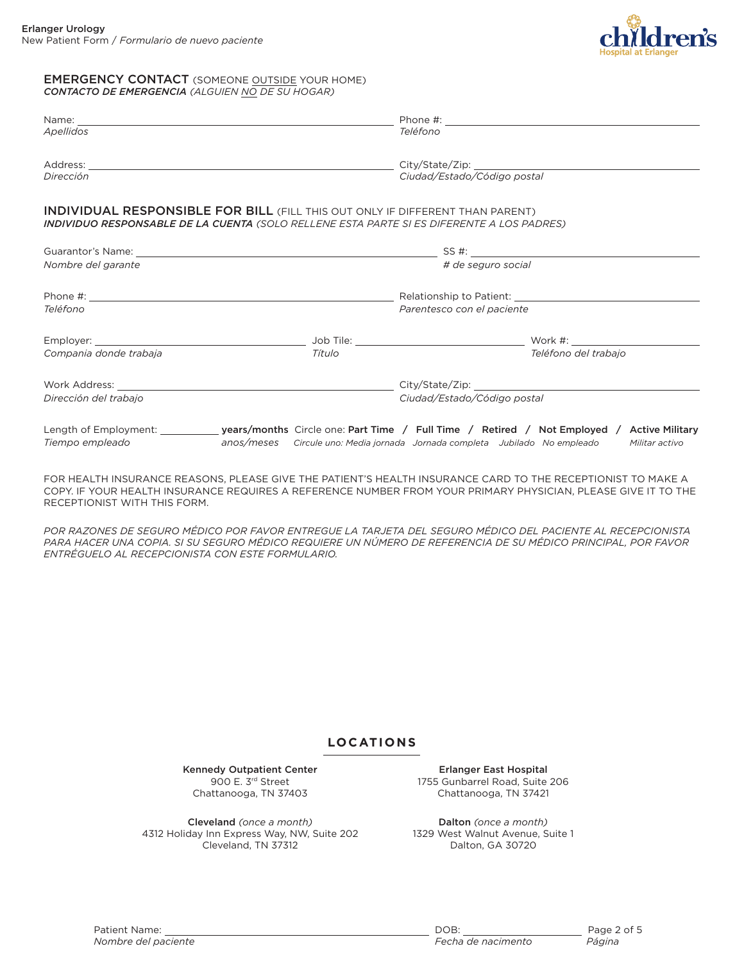

## EMERGENCY CONTACT (SOMEONE OUTSIDE YOUR HOME) *CONTACTO DE EMERGENCIA (ALGUIEN NO DE SU HOGAR)*

| Name: when the contract of the contract of the contract of the contract of the contract of the contract of the contract of the contract of the contract of the contract of the contract of the contract of the contract of the |        | Phone #:                                                                    |                      |
|--------------------------------------------------------------------------------------------------------------------------------------------------------------------------------------------------------------------------------|--------|-----------------------------------------------------------------------------|----------------------|
| Apellidos                                                                                                                                                                                                                      |        | Teléfono                                                                    |                      |
| Address: Andreas Address: Address: Address: Address: Address: Address: Address: Address: Address: Address: Address: Address: Address: Address: Address: Address: Address: Address: Address: Address: Address: Address: Address |        |                                                                             |                      |
| Dirección                                                                                                                                                                                                                      |        | Ciudad/Estado/Código postal                                                 |                      |
| <b>INDIVIDUAL RESPONSIBLE FOR BILL (FILL THIS OUT ONLY IF DIFFERENT THAN PARENT)</b><br><b>INDIVIDUO RESPONSABLE DE LA CUENTA</b> (SOLO RELLENE ESTA PARTE SI ES DIFERENTE A LOS PADRES)                                       |        |                                                                             |                      |
|                                                                                                                                                                                                                                |        |                                                                             |                      |
| Nombre del garante                                                                                                                                                                                                             |        | # de seguro social                                                          |                      |
| Phone #: the state of the state of the state of the state of the state of the state of the state of the state of the state of the state of the state of the state of the state of the state of the state of the state of the s |        |                                                                             |                      |
| Teléfono                                                                                                                                                                                                                       |        | Parentesco con el paciente                                                  |                      |
|                                                                                                                                                                                                                                |        |                                                                             |                      |
| Compania donde trabaja                                                                                                                                                                                                         | Título |                                                                             | Teléfono del trabajo |
| Work Address: What is a state of the state of the state of the state of the state of the state of the state of the state of the state of the state of the state of the state of the state of the state of the state of the sta |        |                                                                             |                      |
| Dirección del trabajo                                                                                                                                                                                                          |        | Ciudad/Estado/Código postal                                                 |                      |
| Length of Employment: _____________ years/months Circle one: Part Time / Full Time / Retired / Not Employed / Active Military<br>Tiempo empleado                                                                               |        |                                                                             |                      |
|                                                                                                                                                                                                                                |        | anos/meses Circule uno: Media jornada Jornada completa Jubilado No empleado | Militar activo       |

FOR HEALTH INSURANCE REASONS, PLEASE GIVE THE PATIENT'S HEALTH INSURANCE CARD TO THE RECEPTIONIST TO MAKE A COPY. IF YOUR HEALTH INSURANCE REQUIRES A REFERENCE NUMBER FROM YOUR PRIMARY PHYSICIAN, PLEASE GIVE IT TO THE RECEPTIONIST WITH THIS FORM.

POR RAZONES DE SEGURO MÉDICO POR FAVOR ENTREGUE LA TARJETA DEL SEGURO MÉDICO DEL PACIENTE AL RECEPCIONISTA PARA HACER UNA COPIA. SI SU SEGURO MÉDICO REQUIERE UN NÚMERO DE REFERENCIA DE SU MÉDICO PRINCIPAL, POR FAVOR *ENTRÉGUELO AL RECEPCIONISTA CON ESTE FORMULARIO.*

## **LOCATIONS**

Kennedy Outpatient Center 900 E. 3rd Street Chattanooga, TN 37403

Cleveland *(once a month)* 4312 Holiday Inn Express Way, NW, Suite 202 Cleveland, TN 37312

Erlanger East Hospital 1755 Gunbarrel Road, Suite 206 Chattanooga, TN 37421

Dalton *(once a month)* 1329 West Walnut Avenue, Suite 1 Dalton, GA 30720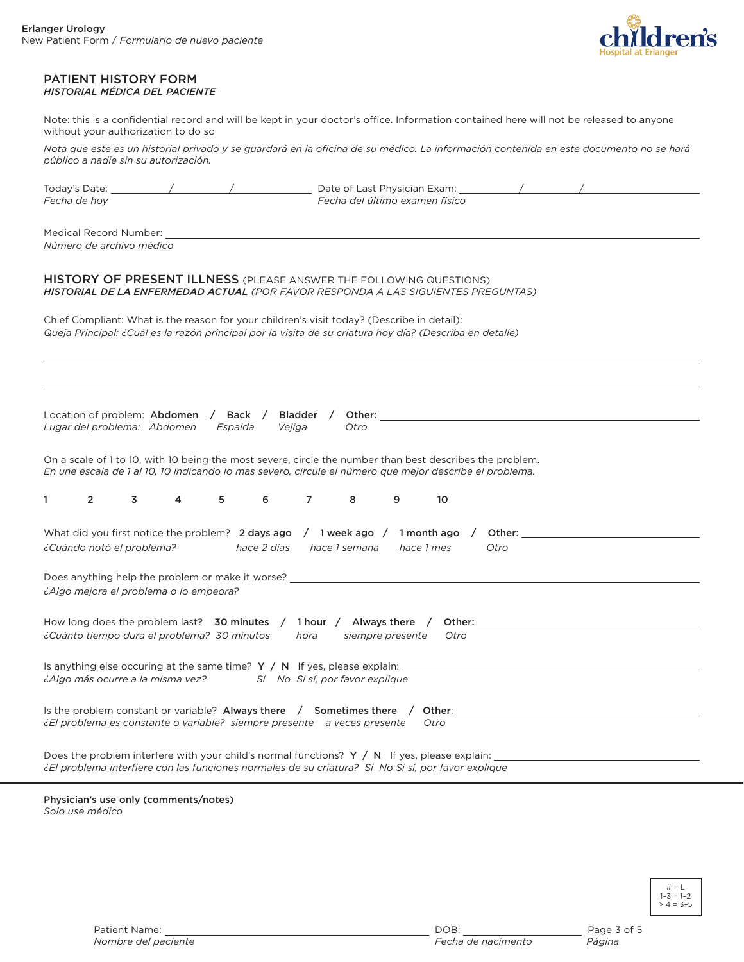

## PATIENT HISTORY FORM *HISTORIAL MÉDICA DEL PACIENTE*

Note: this is a confidential record and will be kept in your doctor's office. Information contained here will not be released to anyone without your authorization to do so

Nota que este es un historial privado y se guardará en la oficina de su médico. La información contenida en este documento no se hará *público a nadie sin su autorización.*

| Today's Date:                                                                                                                    | Date of Last Physician Exam:                                                                                                                                                                                        |  |  |  |
|----------------------------------------------------------------------------------------------------------------------------------|---------------------------------------------------------------------------------------------------------------------------------------------------------------------------------------------------------------------|--|--|--|
| Fecha de hoy                                                                                                                     | Fecha del último examen fisico                                                                                                                                                                                      |  |  |  |
|                                                                                                                                  |                                                                                                                                                                                                                     |  |  |  |
| Medical Record Number: _                                                                                                         |                                                                                                                                                                                                                     |  |  |  |
| Número de archivo médico                                                                                                         |                                                                                                                                                                                                                     |  |  |  |
|                                                                                                                                  |                                                                                                                                                                                                                     |  |  |  |
|                                                                                                                                  | HISTORY OF PRESENT ILLNESS (PLEASE ANSWER THE FOLLOWING QUESTIONS)<br>HISTORIAL DE LA ENFERMEDAD ACTUAL (POR FAVOR RESPONDA A LAS SIGUIENTES PREGUNTAS)                                                             |  |  |  |
|                                                                                                                                  | Chief Compliant: What is the reason for your children's visit today? (Describe in detail):                                                                                                                          |  |  |  |
|                                                                                                                                  | Queja Principal: ¿Cuál es la razón principal por la visita de su criatura hoy día? (Describa en detalle)                                                                                                            |  |  |  |
|                                                                                                                                  |                                                                                                                                                                                                                     |  |  |  |
|                                                                                                                                  |                                                                                                                                                                                                                     |  |  |  |
|                                                                                                                                  |                                                                                                                                                                                                                     |  |  |  |
|                                                                                                                                  |                                                                                                                                                                                                                     |  |  |  |
|                                                                                                                                  |                                                                                                                                                                                                                     |  |  |  |
| Location of problem: Abdomen / Back /<br>Lugar del problema: Abdomen<br>Espalda                                                  | Bladder /<br>Other:<br>Vejiga<br>Otro                                                                                                                                                                               |  |  |  |
|                                                                                                                                  |                                                                                                                                                                                                                     |  |  |  |
|                                                                                                                                  | On a scale of 1 to 10, with 10 being the most severe, circle the number than best describes the problem.<br>En une escala de 1 al 10, 10 indicando lo mas severo, circule el número que mejor describe el problema. |  |  |  |
|                                                                                                                                  |                                                                                                                                                                                                                     |  |  |  |
| 1<br>$\overline{2}$<br>3<br>5<br>4                                                                                               | $\overline{7}$<br>6<br>8<br>9<br>10                                                                                                                                                                                 |  |  |  |
|                                                                                                                                  |                                                                                                                                                                                                                     |  |  |  |
|                                                                                                                                  | What did you first notice the problem? 2 days ago $\binom{1}{1}$ week ago $\binom{1}{1}$ month ago $\binom{1}{1}$ Other:                                                                                            |  |  |  |
| ¿Cuándo notó el problema?                                                                                                        | hace 2 días<br>hace 1 semana<br>hace 1 mes<br>Otro                                                                                                                                                                  |  |  |  |
|                                                                                                                                  |                                                                                                                                                                                                                     |  |  |  |
| Does anything help the problem or make it worse? _                                                                               |                                                                                                                                                                                                                     |  |  |  |
| ¿Algo mejora el problema o lo empeora?                                                                                           |                                                                                                                                                                                                                     |  |  |  |
|                                                                                                                                  |                                                                                                                                                                                                                     |  |  |  |
| How long does the problem last? 30 minutes $/$ 1 hour $/$ Always there $/$ Other:<br>¿Cuánto tiempo dura el problema? 30 minutos |                                                                                                                                                                                                                     |  |  |  |
|                                                                                                                                  | hora<br>siempre presente<br>Otro                                                                                                                                                                                    |  |  |  |
|                                                                                                                                  |                                                                                                                                                                                                                     |  |  |  |
| <i>iAlgo más ocurre a la misma vez?</i> Sí No Si sí, por favor explique                                                          | Is anything else occuring at the same time? $Y / N$ If yes, please explain: $\Box$                                                                                                                                  |  |  |  |
|                                                                                                                                  |                                                                                                                                                                                                                     |  |  |  |
|                                                                                                                                  | Is the problem constant or variable? Always there $\,$ Sometimes there $\,$ Other:                                                                                                                                  |  |  |  |
| <i>iEl</i> problema es constante o variable? siempre presente a veces presente                                                   | Otro                                                                                                                                                                                                                |  |  |  |
|                                                                                                                                  |                                                                                                                                                                                                                     |  |  |  |
|                                                                                                                                  | Does the problem interfere with your child's normal functions? $Y / N$ If yes, please explain:                                                                                                                      |  |  |  |
|                                                                                                                                  | ¿El problema interfiere con las funciones normales de su criatura? Sí No Si sí, por favor explique                                                                                                                  |  |  |  |

Physician's use only (comments/notes) *Solo use médico*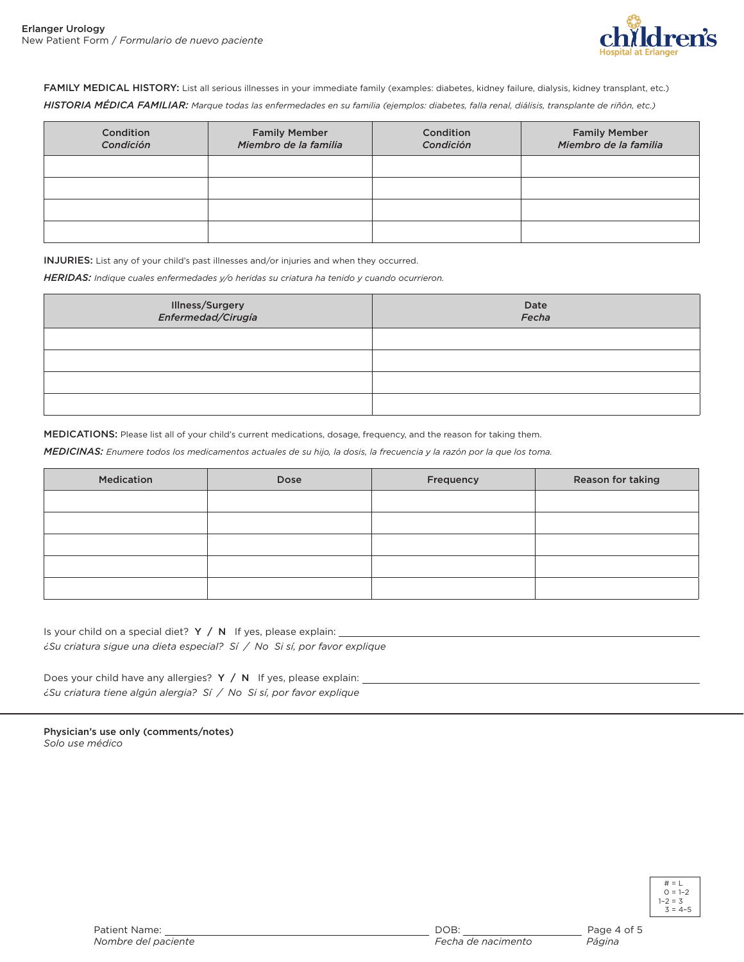

FAMILY MEDICAL HISTORY: List all serious illnesses in your immediate family (examples: diabetes, kidney failure, dialysis, kidney transplant, etc.) HISTORIA MÉDICA FAMILIAR: Marque todas las enfermedades en su familia (ejemplos: diabetes, falla renal, diálisis, transplante de riñón, etc.)

| Condition<br>Condición | <b>Family Member</b><br>Miembro de la familia | Condition<br>Condición | <b>Family Member</b><br>Miembro de la familia |
|------------------------|-----------------------------------------------|------------------------|-----------------------------------------------|
|                        |                                               |                        |                                               |
|                        |                                               |                        |                                               |
|                        |                                               |                        |                                               |
|                        |                                               |                        |                                               |

INJURIES: List any of your child's past illnesses and/or injuries and when they occurred.

*HERIDAS: Indique cuales enfermedades y/o heridas su criatura ha tenido y cuando ocurrieron.*

| Illness/Surgery<br>Enfermedad/Cirugía | Date<br>Fecha |
|---------------------------------------|---------------|
|                                       |               |
|                                       |               |
|                                       |               |
|                                       |               |

MEDICATIONS: Please list all of your child's current medications, dosage, frequency, and the reason for taking them.

MEDICINAS: Enumere todos los medicamentos actuales de su hijo, la dosis, la frecuencia y la razón por la que los toma.

| Medication | Dose | Frequency | Reason for taking |
|------------|------|-----------|-------------------|
|            |      |           |                   |
|            |      |           |                   |
|            |      |           |                   |
|            |      |           |                   |
|            |      |           |                   |

Is your child on a special diet?  $Y / N$  If yes, please explain: *¿Su criatura sigue una dieta especial? Sí / No Si sí, por favor explique*

Does your child have any allergies? Y / N If yes, please explain: *¿Su criatura tiene algún alergia? Sí / No Si sí, por favor explique*

Physician's use only (comments/notes) *Solo use médico*